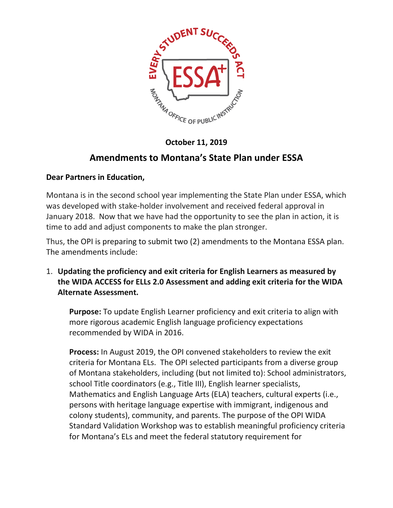

# **October 11, 2019**

# **Amendments to Montana's State Plan under ESSA**

#### **Dear Partners in Education,**

Montana is in the second school year implementing the State Plan under ESSA, which was developed with stake-holder involvement and received federal approval in January 2018. Now that we have had the opportunity to see the plan in action, it is time to add and adjust components to make the plan stronger.

Thus, the OPI is preparing to submit two (2) amendments to the Montana ESSA plan. The amendments include:

1. **Updating the proficiency and exit criteria for English Learners as measured by the WIDA ACCESS for ELLs 2.0 Assessment and adding exit criteria for the WIDA Alternate Assessment.**

**Purpose:** To update English Learner proficiency and exit criteria to align with more rigorous academic English language proficiency expectations recommended by WIDA in 2016.

**Process:** In August 2019, the OPI convened stakeholders to review the exit criteria for Montana ELs. The OPI selected participants from a diverse group of Montana stakeholders, including (but not limited to): School administrators, school Title coordinators (e.g., Title III), English learner specialists, Mathematics and English Language Arts (ELA) teachers, cultural experts (i.e., persons with heritage language expertise with immigrant, indigenous and colony students), community, and parents. The purpose of the OPI WIDA Standard Validation Workshop was to establish meaningful proficiency criteria for Montana's ELs and meet the federal statutory requirement for